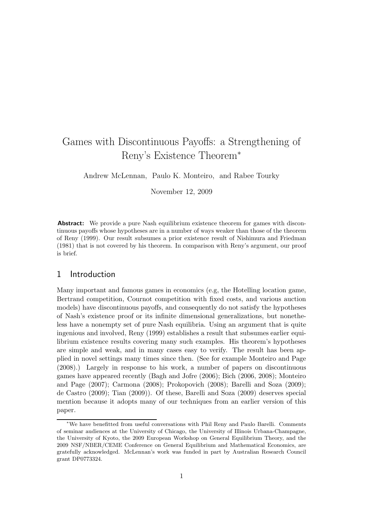# Games with Discontinuous Payoffs: a Strengthening of Reny's Existence Theorem<sup>∗</sup>

Andrew McLennan, Paulo K. Monteiro, and Rabee Tourky

November 12, 2009

**Abstract:** We provide a pure Nash equilibrium existence theorem for games with discontinuous payoffs whose hypotheses are in a number of ways weaker than those of the theorem of Reny (1999). Our result subsumes a prior existence result of Nishimura and Friedman (1981) that is not covered by his theorem. In comparison with Reny's argument, our proof is brief.

### 1 Introduction

Many important and famous games in economics (e.g, the Hotelling location game, Bertrand competition, Cournot competition with fixed costs, and various auction models) have discontinuous payoffs, and consequently do not satisfy the hypotheses of Nash's existence proof or its infinite dimensional generalizations, but nonetheless have a nonempty set of pure Nash equilibria. Using an argument that is quite ingenious and involved, Reny (1999) establishes a result that subsumes earlier equilibrium existence results covering many such examples. His theorem's hypotheses are simple and weak, and in many cases easy to verify. The result has been applied in novel settings many times since then. (See for example Monteiro and Page (2008).) Largely in response to his work, a number of papers on discontinuous games have appeared recently (Bagh and Jofre (2006); Bich (2006, 2008); Monteiro and Page (2007); Carmona (2008); Prokopovich (2008); Barelli and Soza (2009); de Castro (2009); Tian (2009)). Of these, Barelli and Soza (2009) deserves special mention because it adopts many of our techniques from an earlier version of this paper.

<sup>∗</sup>We have benefitted from useful conversations with Phil Reny and Paulo Barelli. Comments of seminar audiences at the University of Chicago, the University of Illinois Urbana-Champagne, the University of Kyoto, the 2009 European Workshop on General Equilibrium Theory, and the 2009 NSF/NBER/CEME Conference on General Equilibrium and Mathematical Economics, are gratefully acknowledged. McLennan's work was funded in part by Australian Research Council grant DP0773324.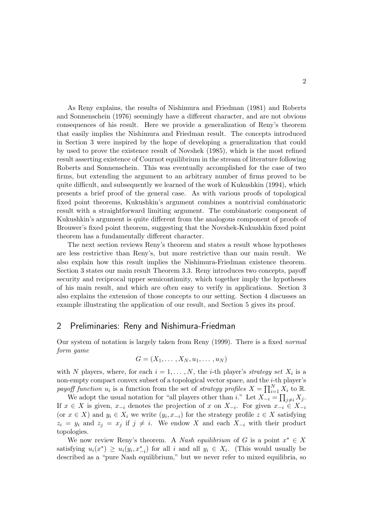As Reny explains, the results of Nishimura and Friedman (1981) and Roberts and Sonnenschein (1976) seemingly have a different character, and are not obvious consequences of his result. Here we provide a generalization of Reny's theorem that easily implies the Nishimura and Friedman result. The concepts introduced in Section 3 were inspired by the hope of developing a generalization that could by used to prove the existence result of Novshek (1985), which is the most refined result asserting existence of Cournot equilibrium in the stream of literature following Roberts and Sonnenschein. This was eventually accomplished for the case of two firms, but extending the argument to an arbitrary number of firms proved to be quite difficult, and subsequently we learned of the work of Kukushkin (1994), which presents a brief proof of the general case. As with various proofs of topological fixed point theorems, Kukushkin's argument combines a nontrivial combinatoric result with a straightforward limiting argument. The combinatoric component of Kukushkin's argument is quite different from the analogous component of proofs of Brouwer's fixed point theorem, suggesting that the Novshek-Kukushkin fixed point theorem has a fundamentally different character.

The next section reviews Reny's theorem and states a result whose hypotheses are less restrictive than Reny's, but more restrictive than our main result. We also explain how this result implies the Nishimura-Friedman existence theorem. Section 3 states our main result Theorem 3.3. Reny introduces two concepts, payoff security and reciprocal upper semicontinuity, which together imply the hypotheses of his main result, and which are often easy to verify in applications. Section 3 also explains the extension of those concepts to our setting. Section 4 discusses an example illustrating the application of our result, and Section 5 gives its proof.

#### 2 Preliminaries: Reny and Nishimura-Friedman

Our system of notation is largely taken from Reny (1999). There is a fixed *normal form game*

$$
G=(X_1,\ldots,X_N,u_1,\ldots,u_N)
$$

with N players, where, for each  $i = 1, \ldots, N$ , the *i*-th player's *strategy set*  $X_i$  is a non-empty compact convex subset of a topological vector space, and the i-th player's payoff function  $u_i$  is a function from the set of *strategy profiles*  $X = \prod_{i=1}^N X_i$  to R.

We adopt the usual notation for "all players other than i." Let  $X_{-i} = \prod_{j \neq i} X_j$ . If  $x \in X$  is given,  $x_{-i}$  denotes the projection of x on  $X_{-i}$ . For given  $x_{-i} \in X_{-i}$ (or  $x \in X$ ) and  $y_i \in X_i$  we write  $(y_i, x_{-i})$  for the strategy profile  $z \in X$  satisfying  $z_i = y_i$  and  $z_j = x_j$  if  $j \neq i$ . We endow X and each  $X_{-i}$  with their product topologies.

We now review Reny's theorem. A *Nash equilibrium* of G is a point  $x^* \in X$ satisfying  $u_i(x^*) \geq u_i(y_i, x_{-i}^*)$  for all i and all  $y_i \in X_i$ . (This would usually be described as a "pure Nash equilibrium," but we never refer to mixed equilibria, so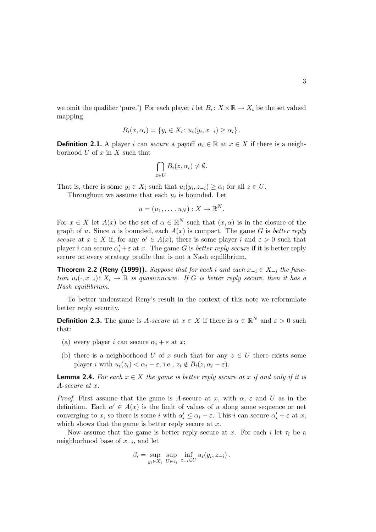we omit the qualifier 'pure.') For each player i let  $B_i: X \times \mathbb{R} \to X_i$  be the set valued mapping

$$
B_i(x, \alpha_i) = \{ y_i \in X_i \colon u_i(y_i, x_{-i}) \ge \alpha_i \}.
$$

**Definition 2.1.** A player i can *secure* a payoff  $\alpha_i \in \mathbb{R}$  at  $x \in X$  if there is a neighborhood  $U$  of  $x$  in  $X$  such that

$$
\bigcap_{z\in U}B_i(z,\alpha_i)\neq\emptyset.
$$

That is, there is some  $y_i \in X_i$  such that  $u_i(y_i, z_{-i}) \geq \alpha_i$  for all  $z \in U$ .

Throughout we assume that each  $u_i$  is bounded. Let

$$
u=(u_1,\ldots,u_N):X\to\mathbb{R}^N.
$$

For  $x \in X$  let  $A(x)$  be the set of  $\alpha \in \mathbb{R}^N$  such that  $(x, \alpha)$  is in the closure of the graph of u. Since u is bounded, each  $A(x)$  is compact. The game G is *better reply secure* at  $x \in X$  if, for any  $\alpha' \in A(x)$ , there is some player i and  $\varepsilon > 0$  such that player *i* can secure  $\alpha'_i + \varepsilon$  at *x*. The game *G* is *better reply secure* if it is better reply secure on every strategy profile that is not a Nash equilibrium.

**Theorem 2.2 (Reny (1999)).** *Suppose that for each i and each*  $x_{-i}$  ∈  $X_{-i}$  *the function*  $u_i(\cdot, x_{-i}): X_i \to \mathbb{R}$  *is quasiconcave. If* G *is better reply secure, then it has a Nash equilibrium.*

To better understand Reny's result in the context of this note we reformulate better reply security.

**Definition 2.3.** The game is A-secure at  $x \in X$  if there is  $\alpha \in \mathbb{R}^N$  and  $\varepsilon > 0$  such that:

- (a) every player i can secure  $\alpha_i + \varepsilon$  at x;
- (b) there is a neighborhood U of x such that for any  $z \in U$  there exists some player i with  $u_i(z_i) < \alpha_i - \varepsilon$ , i.e.,  $z_i \notin B_i(z, \alpha_i - \varepsilon)$ .

**Lemma 2.4.** For each  $x \in X$  the game is better reply secure at x if and only if it is A*-secure at* x*.*

*Proof.* First assume that the game is A-secure at x, with  $\alpha$ ,  $\varepsilon$  and U as in the definition. Each  $\alpha' \in A(x)$  is the limit of values of u along some sequence or net converging to x, so there is some i with  $\alpha'_i \leq \alpha_i - \varepsilon$ . This i can secure  $\alpha'_i + \varepsilon$  at x, which shows that the game is better reply secure at  $x$ .

Now assume that the game is better reply secure at x. For each i let  $\tau_i$  be a neighborhood base of  $x_{-i}$ , and let

$$
\beta_i = \sup_{y_i \in X_i} \sup_{U \in \tau_i} \inf_{z_{-i} \in U} u_i(y_i, z_{-i}).
$$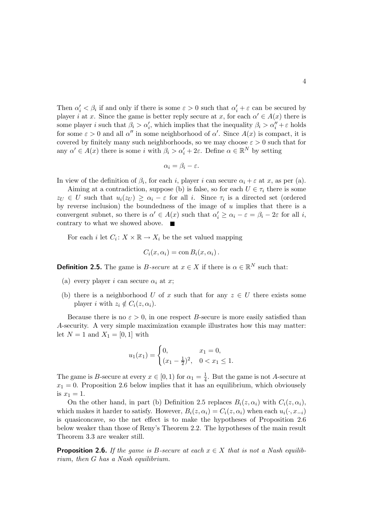Then  $\alpha'_i < \beta_i$  if and only if there is some  $\varepsilon > 0$  such that  $\alpha'_i + \varepsilon$  can be secured by player i at x. Since the game is better reply secure at x, for each  $\alpha' \in A(x)$  there is some player *i* such that  $\beta_i > \alpha'_i$ , which implies that the inequality  $\beta_i > \alpha''_i + \varepsilon$  holds for some  $\varepsilon > 0$  and all  $\alpha''$  in some neighborhood of  $\alpha'$ . Since  $A(x)$  is compact, it is covered by finitely many such neighborhoods, so we may choose  $\varepsilon > 0$  such that for any  $\alpha' \in A(x)$  there is some i with  $\beta_i > \alpha'_i + 2\varepsilon$ . Define  $\alpha \in \mathbb{R}^N$  by setting

$$
\alpha_i = \beta_i - \varepsilon.
$$

In view of the definition of  $\beta_i$ , for each i, player i can secure  $\alpha_i + \varepsilon$  at x, as per (a).

Aiming at a contradiction, suppose (b) is false, so for each  $U \in \tau_i$  there is some  $z_U \in U$  such that  $u_i(z_U) \geq \alpha_i - \varepsilon$  for all i. Since  $\tau_i$  is a directed set (ordered by reverse inclusion) the boundedness of the image of  $u$  implies that there is a convergent subnet, so there is  $\alpha' \in A(x)$  such that  $\alpha'_i \geq \alpha_i - \varepsilon = \beta_i - 2\varepsilon$  for all i, contrary to what we showed above.  $\blacksquare$ 

For each *i* let  $C_i: X \times \mathbb{R} \to X_i$  be the set valued mapping

$$
C_i(x, \alpha_i) = \text{con } B_i(x, \alpha_i).
$$

**Definition 2.5.** The game is *B-secure* at  $x \in X$  if there is  $\alpha \in \mathbb{R}^N$  such that:

- (a) every player i can secure  $\alpha_i$  at x;
- (b) there is a neighborhood U of x such that for any  $z \in U$  there exists some player i with  $z_i \notin C_i(z, \alpha_i)$ .

Because there is no  $\varepsilon > 0$ , in one respect B-secure is more easily satisfied than A-security. A very simple maximization example illustrates how this may matter: let  $N = 1$  and  $X_1 = [0, 1]$  with

$$
u_1(x_1) = \begin{cases} 0, & x_1 = 0, \\ (x_1 - \frac{1}{2})^2, & 0 < x_1 \le 1. \end{cases}
$$

The game is B-secure at every  $x \in [0,1)$  for  $\alpha_1 = \frac{1}{4}$  $\frac{1}{4}$ . But the game is not A-secure at  $x_1 = 0$ . Proposition 2.6 below implies that it has an equilibrium, which obviousely is  $x_1 = 1$ .

On the other hand, in part (b) Definition 2.5 replaces  $B_i(z, \alpha_i)$  with  $C_i(z, \alpha_i)$ , which makes it harder to satisfy. However,  $B_i(z, \alpha_i) = C_i(z, \alpha_i)$  when each  $u_i(\cdot, x_{-i})$ is quasiconcave, so the net effect is to make the hypotheses of Proposition 2.6 below weaker than those of Reny's Theorem 2.2. The hypotheses of the main result Theorem 3.3 are weaker still.

**Proposition 2.6.** *If the game is B-secure at each*  $x \in X$  *that is not a Nash equilibrium, then* G *has a Nash equilibrium.*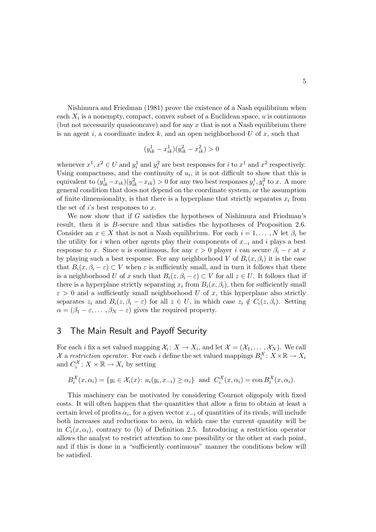Nishimura and Friedman (1981) prove the existence of a Nash equilibrium when each  $X_i$  is a nonempty, compact, convex subset of a Euclidean space,  $u$  is continuous (but not necessarily quasiconcave) and for any  $x$  that is not a Nash equilibrium there is an agent i, a coordinate index  $k$ , and an open neighborhood  $U$  of  $x$ , such that

$$
(y^1_{ik}-x^1_{ik})(y^2_{ik}-x^2_{ik})>0\,
$$

whenever  $x^1, x^2 \in U$  and  $y_i^1$  and  $y_i^2$  are best responses for *i* to  $x^1$  and  $x^2$  respectively. Using compactness, and the continuity of  $u_i$ , it is not difficult to show that this is equivalent to  $(y_{ik}^1 - x_{ik})(y_{ik}^2 - x_{ik}) > 0$  for any two best responses  $y_i^1, y_i^2$  to x. A more general condition that does not depend on the coordinate system, or the assumption of finite dimensionality, is that there is a hyperplane that strictly separates  $x_i$  from the set of  $i$ 's best responses to  $x$ .

We now show that if G satisfies the hypotheses of Nishimura and Friedman's result, then it is B-secure and thus satisfies the hypotheses of Proposition 2.6. Consider an  $x \in X$  that is not a Nash equilibrium. For each  $i = 1, \ldots, N$  let  $\beta_i$  be the utility for i when other agents play their components of  $x_{-i}$  and i plays a best response to x. Since u is continuous, for any  $\varepsilon > 0$  player i can secure  $\beta_i - \varepsilon$  at x by playing such a best response. For any neighborhood V of  $B_i(x, \beta_i)$  it is the case that  $B_i(x, \beta_i - \varepsilon) \subset V$  when  $\varepsilon$  is sufficiently small, and in turn it follows that there is a neighborhood U of x such that  $B_i(z, \beta_i - \varepsilon) \subset V$  for all  $z \in U$ . It follows that if there is a hyperplane strictly separating  $x_i$  from  $B_i(x, \beta_i)$ , then for sufficiently small  $\varepsilon > 0$  and a sufficiently small neighborhood U of x, this hyperplane also strictly separates  $z_i$  and  $B_i(z, \beta_i - \varepsilon)$  for all  $z \in U$ , in which case  $z_i \notin C_i(z, \beta_i)$ . Setting  $\alpha = (\beta_1 - \varepsilon, \dots, \beta_N - \varepsilon)$  gives the required property.

### 3 The Main Result and Payoff Security

For each *i* fix a set valued mapping  $\mathcal{X}_i: X \to X_i$ , and let  $\mathcal{X} = (\mathcal{X}_1, \dots, \mathcal{X}_N)$ . We call X a *restriction operator*. For each *i* define the set valued mappings  $B_i^{\mathcal{X}}: X \times \mathbb{R} \to X_i$ and  $C_i^{\mathcal{X}}: X \times \mathbb{R} \to X_i$  by setting

$$
B_i^{\mathcal{X}}(x,\alpha_i) = \{ y_i \in \mathcal{X}_i(x) \colon u_i(y_i,x_{-i}) \ge \alpha_i \} \text{ and } C_i^{\mathcal{X}}(x,\alpha_i) = \text{con } B_i^{\mathcal{X}}(x,\alpha_i).
$$

This machinery can be motivated by considering Cournot oligopoly with fixed costs. It will often happen that the quantities that allow a firm to obtain at least a certain level of profits  $\alpha_i$ , for a given vector  $x_{-i}$  of quantities of its rivals, will include both increases and reductions to zero, in which case the current quantity will be in  $C_i(x, \alpha_i)$ , contrary to (b) of Definition 2.5. Introducing a restriction operator allows the analyst to restrict attention to one possibility or the other at each point, and if this is done in a "sufficiently continuous" manner the conditions below will be satisfied.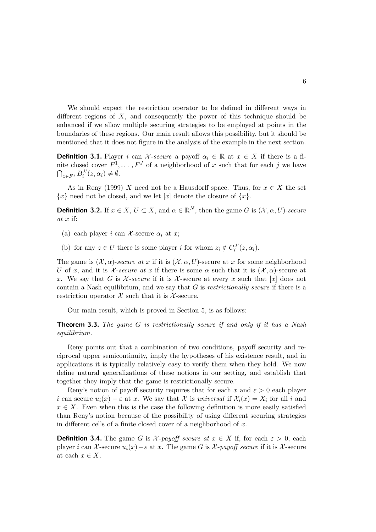We should expect the restriction operator to be defined in different ways in different regions of  $X$ , and consequently the power of this technique should be enhanced if we allow multiple securing strategies to be employed at points in the boundaries of these regions. Our main result allows this possibility, but it should be mentioned that it does not figure in the analysis of the example in the next section.

**Definition 3.1.** Player i can X-secure a payoff  $\alpha_i \in \mathbb{R}$  at  $x \in X$  if there is a finite closed cover  $F^1, \ldots, F^J$  of a neighborhood of x such that for each j we have  $\bigcap_{z \in F^j} B_i^{\mathcal{X}}(z, \alpha_i) \neq \emptyset.$ 

As in Reny (1999) X need not be a Hausdorff space. Thus, for  $x \in X$  the set  ${x}$  need not be closed, and we let [x] denote the closure of  ${x}$ .

**Definition 3.2.** If  $x \in X$ ,  $U \subset X$ , and  $\alpha \in \mathbb{R}^N$ , then the game G is  $(\mathcal{X}, \alpha, U)$ -secure *at* x if:

- (a) each player i can X-secure  $\alpha_i$  at x;
- (b) for any  $z \in U$  there is some player *i* for whom  $z_i \notin C_i^{\mathcal{X}}(z, \alpha_i)$ .

The game is  $(\mathcal{X}, \alpha)$ -secure at x if it is  $(\mathcal{X}, \alpha, U)$ -secure at x for some neighborhood U of x, and it is  $\mathcal{X}\text{-}secure~at~x$  if there is some  $\alpha$  such that it is  $(\mathcal{X}, \alpha)$ -secure at x. We say that G is  $\mathcal{X}$ -secure if it is  $\mathcal{X}$ -secure at every x such that  $[x]$  does not contain a Nash equilibrium, and we say that G is *restrictionally secure* if there is a restriction operator  $\mathcal X$  such that it is  $\mathcal X$ -secure.

Our main result, which is proved in Section 5, is as follows:

Theorem 3.3. *The game* G *is restrictionally secure if and only if it has a Nash equilibrium.*

Reny points out that a combination of two conditions, payoff security and reciprocal upper semicontinuity, imply the hypotheses of his existence result, and in applications it is typically relatively easy to verify them when they hold. We now define natural generalizations of these notions in our setting, and establish that together they imply that the game is restrictionally secure.

Reny's notion of payoff security requires that for each x and  $\varepsilon > 0$  each player i can secure  $u_i(x) - \varepsilon$  at x. We say that X is *universal* if  $\mathcal{X}_i(x) = X_i$  for all i and  $x \in X$ . Even when this is the case the following definition is more easily satisfied than Reny's notion because of the possibility of using different securing strategies in different cells of a finite closed cover of a neighborhood of  $x$ .

**Definition 3.4.** The game G is X-payoff secure at  $x \in X$  if, for each  $\varepsilon > 0$ , each player i can  $\mathcal X$ -secure  $u_i(x) - \varepsilon$  at x. The game G is  $\mathcal X$ -payoff secure if it is X-secure at each  $x \in X$ .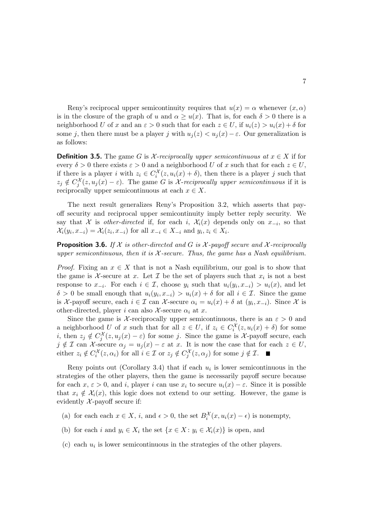Reny's reciprocal upper semicontinuity requires that  $u(x) = \alpha$  whenever  $(x, \alpha)$ is in the closure of the graph of u and  $\alpha \geq u(x)$ . That is, for each  $\delta > 0$  there is a neighborhood U of x and an  $\varepsilon > 0$  such that for each  $z \in U$ , if  $u_i(z) > u_i(x) + \delta$  for some j, then there must be a player j with  $u_i(z) < u_i(x) - \varepsilon$ . Our generalization is as follows:

**Definition 3.5.** The game G is  $\mathcal{X}$ -reciprocally upper semicontinuous at  $x \in X$  if for every  $\delta > 0$  there exists  $\varepsilon > 0$  and a neighborhood U of x such that for each  $z \in U$ , if there is a player i with  $z_i \in C_i^{\mathcal{X}}(z, u_i(x) + \delta)$ , then there is a player j such that  $z_j \notin C_j^{\mathcal{X}}(z, u_j(x) - \varepsilon)$ . The game G is X-reciprocally upper semicontinuous if it is reciprocally upper semicontinuous at each  $x \in X$ .

The next result generalizes Reny's Proposition 3.2, which asserts that payoff security and reciprocal upper semicontinuity imply better reply security. We say that  $\mathcal X$  is *other-directed* if, for each i,  $\mathcal X_i(x)$  depends only on  $x_{-i}$ , so that  $\mathcal{X}_i(y_i, x_{-i}) = \mathcal{X}_i(z_i, x_{-i})$  for all  $x_{-i} \in X_{-i}$  and  $y_i, z_i \in X_i$ .

Proposition 3.6. *If* X *is other-directed and* G *is* X *-payoff secure and* X *-reciprocally upper semicontinuous, then it is* X *-secure. Thus, the game has a Nash equilibrium.*

*Proof.* Fixing an  $x \in X$  that is not a Nash equilibrium, our goal is to show that the game is X-secure at x. Let  $\mathcal I$  be the set of players such that  $x_i$  is not a best response to  $x_{-i}$ . For each  $i \in \mathcal{I}$ , choose  $y_i$  such that  $u_i(y_i, x_{-i}) > u_i(x)$ , and let  $\delta > 0$  be small enough that  $u_i(y_i, x_{-i}) > u_i(x) + \delta$  for all  $i \in \mathcal{I}$ . Since the game is  $\mathcal{X}$ -payoff secure, each  $i \in \mathcal{I}$  can  $\mathcal{X}$ -secure  $\alpha_i = u_i(x) + \delta$  at  $(y_i, x_{-i})$ . Since  $\mathcal{X}$  is other-directed, player i can also X-secure  $\alpha_i$  at x.

Since the game is X-reciprocally upper semicontinuous, there is an  $\varepsilon > 0$  and a neighborhood U of x such that for all  $z \in U$ , if  $z_i \in C_i^{\mathcal{X}}(z, u_i(x) + \delta)$  for some *i*, then  $z_j \notin C_j^{\mathcal{X}}(z, u_j(x) - \varepsilon)$  for some *j*. Since the game is  $\mathcal{X}$ -payoff secure, each  $j \notin \mathcal{I}$  can X-secure  $\alpha_j = u_j(x) - \varepsilon$  at x. It is now the case that for each  $z \in U$ , either  $z_i \notin C_i^{\mathcal{X}}(z, \alpha_i)$  for all  $i \in \mathcal{I}$  or  $z_j \notin C_j^{\mathcal{X}}(z, \alpha_j)$  for some  $j \notin \mathcal{I}$ .

Reny points out (Corollary 3.4) that if each  $u_i$  is lower semicontinuous in the strategies of the other players, then the game is necessarily payoff secure because for each  $x, \varepsilon > 0$ , and i, player i can use  $x_i$  to secure  $u_i(x) - \varepsilon$ . Since it is possible that  $x_i \notin \mathcal{X}_i(x)$ , this logic does not extend to our setting. However, the game is evidently  $X$ -payoff secure if:

- (a) for each each  $x \in X$ , i, and  $\epsilon > 0$ , the set  $B_i^{\mathcal{X}}(x, u_i(x) \epsilon)$  is nonempty,
- (b) for each i and  $y_i \in X_i$  the set  $\{x \in X : y_i \in \mathcal{X}_i(x)\}$  is open, and
- (c) each  $u_i$  is lower semicontinuous in the strategies of the other players.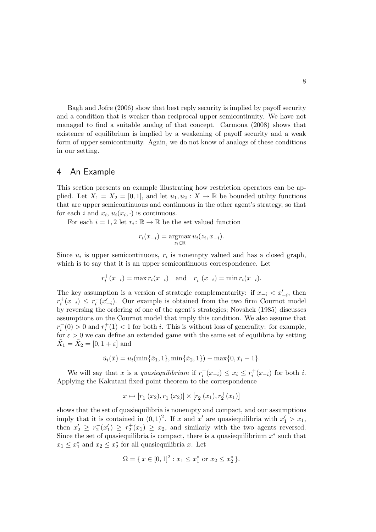Bagh and Jofre (2006) show that best reply security is implied by payoff security and a condition that is weaker than reciprocal upper semicontinuity. We have not managed to find a suitable analog of that concept. Carmona (2008) shows that existence of equilibrium is implied by a weakening of payoff security and a weak form of upper semicontinuity. Again, we do not know of analogs of these conditions in our setting.

#### 4 An Example

This section presents an example illustrating how restriction operators can be applied. Let  $X_1 = X_2 = [0, 1]$ , and let  $u_1, u_2 : X \to \mathbb{R}$  be bounded utility functions that are upper semicontinuous and continuous in the other agent's strategy, so that for each i and  $x_i$ ,  $u_i(x_i, \cdot)$  is continuous.

For each  $i = 1, 2$  let  $r_i : \mathbb{R} \to \mathbb{R}$  be the set valued function

$$
r_i(x_{-i}) = \operatorname*{argmax}_{z_i \in \mathbb{R}} u_i(z_i, x_{-i}).
$$

Since  $u_i$  is upper semicontinuous,  $r_i$  is nonempty valued and has a closed graph, which is to say that it is an upper semicontinuous correspondence. Let

$$
r_i^+(x_{-i}) = \max r_i(x_{-i})
$$
 and  $r_i^-(x_{-i}) = \min r_i(x_{-i}).$ 

The key assumption is a version of strategic complementarity: if  $x_{-i} < x'_{-i}$ , then  $r_i^+$  $i<sup>+</sup>(x<sub>-i</sub>) ≤ r<sub>i</sub><sup>-</sup>(x'<sub>-i</sub>)$ . Our example is obtained from the two firm Cournot model by reversing the ordering of one of the agent's strategies; Novshek (1985) discusses assumptions on the Cournot model that imply this condition. We also assume that  $r_i^-(0) > 0$  and  $r_i^+$  $i<sub>i</sub>(1) < 1$  for both *i*. This is without loss of generality: for example, for  $\varepsilon > 0$  we can define an extended game with the same set of equilibria by setting  $\tilde{X}_1 = \tilde{X}_2 = [0, 1 + \varepsilon]$  and

$$
\tilde{u}_i(\tilde{x}) = u_i(\min{\{\tilde{x}_1, 1\}}, \min{\{\tilde{x}_2, 1\}}) - \max{0, \tilde{x}_i - 1}.
$$

We will say that x is a *quasiequilibrium* if  $r_i^-(x_{-i}) \leq x_i \leq r_i^+$  $i^+(x_{-i})$  for both *i*. Applying the Kakutani fixed point theorem to the correspondence

$$
x\mapsto [r_1^-(x_2),r_1^+(x_2)]\times [r_2^-(x_1),r_2^+(x_1)]
$$

shows that the set of quasiequilibria is nonempty and compact, and our assumptions imply that it is contained in  $(0, 1)^2$ . If x and x' are quasiequilibria with  $x_1' > x_1$ , then  $x_2' \geq r_2^-(x_1') \geq r_2^+(x_1) \geq x_2$ , and similarly with the two agents reversed. Since the set of quasiequilibria is compact, there is a quasiequilibrium  $x^*$  such that  $x_1 \leq x_1^*$  and  $x_2 \leq x_2^*$  for all quasiequilibria x. Let

$$
\Omega = \{ x \in [0,1]^2 : x_1 \le x_1^* \text{ or } x_2 \le x_2^* \}.
$$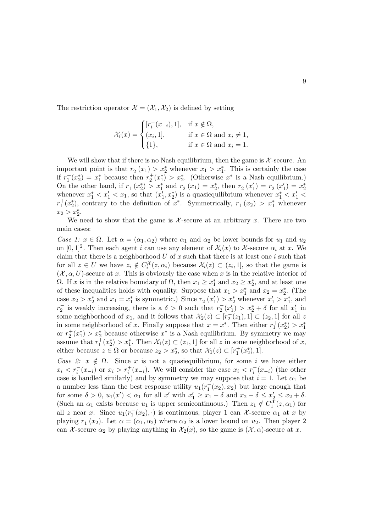The restriction operator  $\mathcal{X} = (\mathcal{X}_1, \mathcal{X}_2)$  is defined by setting

$$
\mathcal{X}_i(x) = \begin{cases} [r_i^-(x_{-i}), 1], & \text{if } x \notin \Omega, \\ (x_i, 1], & \text{if } x \in \Omega \text{ and } x_i \neq 1, \\ \{1\}, & \text{if } x \in \Omega \text{ and } x_i = 1. \end{cases}
$$

We will show that if there is no Nash equilibrium, then the game is  $\mathcal{X}$ -secure. An important point is that  $r_2^-(x_1) > x_2^*$  whenever  $x_1 > x_1^*$ . This is certainly the case if  $r_1^+(x_2^*) = x_1^*$  because then  $r_2^+(x_1^*) > x_2^*$ . (Otherwise  $x^*$  is a Nash equilibrium.) On the other hand, if  $r_1^+(x_2^*) > x_1^*$  and  $r_2^-(x_1) = x_2^*$ , then  $r_2^-(x_1') = r_2^+(x_1') = x_2^*$ whenever  $x_1^* < x_1' < x_1$ , so that  $(x_1', x_2^*)$  is a quasiequilibrium whenever  $x_1^* < x_1' <$  $r_1^+(x_2^*)$ , contrary to the definition of  $x^*$ . Symmetrically,  $r_1^-(x_2) > x_1^*$  whenever  $x_2 > x_2^*$ .

We need to show that the game is  $\mathcal{X}$ -secure at an arbitrary x. There are two main cases:

*Case 1:*  $x \in \Omega$ . Let  $\alpha = (\alpha_1, \alpha_2)$  where  $\alpha_1$  and  $\alpha_2$  be lower bounds for  $u_1$  and  $u_2$ on  $[0,1]^2$ . Then each agent i can use any element of  $\mathcal{X}_i(x)$  to X-secure  $\alpha_i$  at x. We claim that there is a neighborhood  $U$  of  $x$  such that there is at least one  $i$  such that for all  $z \in U$  we have  $z_i \notin C_i^{\mathcal{X}}(z, \alpha_i)$  because  $\mathcal{X}_i(z) \subset (z_i, 1]$ , so that the game is  $(\mathcal{X}, \alpha, U)$ -secure at x. This is obviously the case when x is in the relative interior of Ω. If x is in the relative boundary of  $Ω$ , then  $x_1 \geq x_1^*$  and  $x_2 \geq x_2^*$ , and at least one of these inequalities holds with equality. Suppose that  $x_1 > x_1^*$  and  $x_2 = x_2^*$ . (The case  $x_2 > x_2^*$  and  $x_1 = x_1^*$  is symmetric.) Since  $r_2^-(x_1') > x_2^*$  whenever  $x_1' > x_1^*$ , and  $r_2^-$  is weakly increasing, there is a  $\delta > 0$  such that  $r_2^-(x_1') > x_2^* + \delta$  for all  $x_1'$  in some neighborhood of  $x_1$ , and it follows that  $\mathcal{X}_2(z) \subset [r_2^-(z_1), 1] \subset (z_2, 1]$  for all z in some neighborhood of x. Finally suppose that  $x = x^*$ . Then either  $r_1^+(x_2^*) > x_1^*$ or  $r_2^+(x_1^*) > x_2^*$  because otherwise  $x^*$  is a Nash equilibrium. By symmetry we may assume that  $r_1^{\pm}(x_2^*) > x_1^*$ . Then  $\mathcal{X}_1(z) \subset (z_1, 1]$  for all z in some neighborhood of x, either because  $z \in \Omega$  or because  $z_2 > x_2^*$ , so that  $\mathcal{X}_1(z) \subset [r_1^+(x_2^*), 1].$ 

*Case 2:*  $x \notin \Omega$ . Since x is not a quasiequilibrium, for some i we have either  $x_i < r_i^-(x_{-i})$  or  $x_i > r_i^+(x_{-i})$ . We will consider the case  $x_i < r_i^-(x_{-i})$  (the other case is handled similarly) and by symmetry we may suppose that  $i = 1$ . Let  $\alpha_1$  be a number less than the best response utility  $u_1(r_1^-(x_2), x_2)$  but large enough that for some  $\delta > 0$ ,  $u_1(x') < \alpha_1$  for all x' with  $x'_1 \ge x_1 - \delta$  and  $x_2 - \delta \le x'_2 \le x_2 + \delta$ . (Such an  $\alpha_1$  exists because  $u_1$  is upper semicontinuous.) Then  $z_1 \notin C_1^{\mathcal{X}}(z, \alpha_1)$  for all z near x. Since  $u_1(r_1^-(x_2), \cdot)$  is continuous, player 1 can X-secure  $\alpha_1$  at x by playing  $r_1^-(x_2)$ . Let  $\alpha = (\alpha_1, \alpha_2)$  where  $\alpha_2$  is a lower bound on  $u_2$ . Then player 2 can X-secure  $\alpha_2$  by playing anything in  $\mathcal{X}_2(x)$ , so the game is  $(\mathcal{X}, \alpha)$ -secure at x.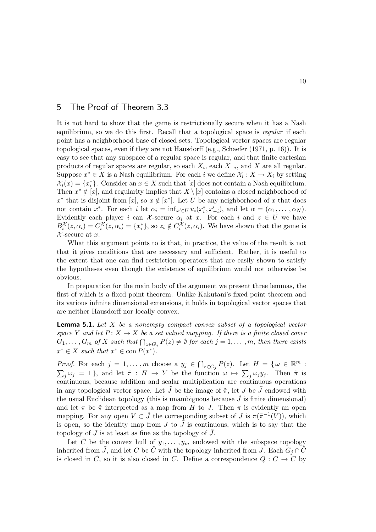## 5 The Proof of Theorem 3.3

It is not hard to show that the game is restrictionally secure when it has a Nash equilibrium, so we do this first. Recall that a topological space is *regular* if each point has a neighborhood base of closed sets. Topological vector spaces are regular topological spaces, even if they are not Hausdorff (e.g., Schaefer (1971, p. 16)). It is easy to see that any subspace of a regular space is regular, and that finite cartesian products of regular spaces are regular, so each  $X_i$ , each  $X_{-i}$ , and X are all regular. Suppose  $x^* \in X$  is a Nash equilibrium. For each i we define  $\mathcal{X}_i : X \to X_i$  by setting  $\mathcal{X}_i(x) = \{x_i^*\}.$  Consider an  $x \in X$  such that  $[x]$  does not contain a Nash equilibrium. Then  $x^* \notin [x]$ , and regularity implies that  $X \setminus [x]$  contains a closed neighborhood of  $x^*$  that is disjoint from [x], so  $x \notin [x^*]$ . Let U be any neighborhood of x that does not contain  $x^*$ . For each i let  $\alpha_i = \inf_{x' \in U} u_i(x_i^*, x'_{-i}),$  and let  $\alpha = (\alpha_1, \dots, \alpha_N)$ . Evidently each player i can X-secure  $\alpha_i$  at x. For each i and  $z \in U$  we have  $B_i^{\mathcal{X}}(z,\alpha_i) = C_i^{\mathcal{X}}(z,\alpha_i) = \{x_i^*\},$  so  $z_i \notin C_i^{\mathcal{X}}(z,\alpha_i)$ . We have shown that the game is  $\mathcal{X}$ -secure at x.

What this argument points to is that, in practice, the value of the result is not that it gives conditions that are necessary and sufficient. Rather, it is useful to the extent that one can find restriction operators that are easily shown to satisfy the hypotheses even though the existence of equilibrium would not otherwise be obvious.

In preparation for the main body of the argument we present three lemmas, the first of which is a fixed point theorem. Unlike Kakutani's fixed point theorem and its various infinite dimensional extensions, it holds in topological vector spaces that are neither Hausdorff nor locally convex.

Lemma 5.1. *Let* X *be a nonempty compact convex subset of a topological vector space* Y and let  $P: X \to X$  be a set valued mapping. If there is a finite closed cover  $G_1, \ldots, G_m$  of  $X$  such that  $\bigcap_{z \in G_j} P(z) \neq \emptyset$  for each  $j = 1, \ldots, m$ , then there exists  $x^* \in X$  such that  $x^* \in \text{con } P(x^*)$ .

*Proof.* For each  $j = 1, ..., m$  choose a  $y_j \in \bigcap_{z \in G_j} P(z)$ . Let  $H = \{ \omega \in \mathbb{R}^m :$  $\sum_j \omega_j = 1$ , and let  $\tilde{\pi}: H \to Y$  be the function  $\omega \mapsto \sum_j \omega_j y_j$ . Then  $\tilde{\pi}$  is continuous, because addition and scalar multiplication are continuous operations in any topological vector space. Let  $\tilde{J}$  be the image of  $\tilde{\pi}$ , let  $J$  be  $\tilde{J}$  endowed with the usual Euclidean topology (this is unambiguous because  $J$  is finite dimensional) and let  $\pi$  be  $\tilde{\pi}$  interpreted as a map from H to J. Then  $\pi$  is evidently an open mapping. For any open  $V \subset \tilde{J}$  the corresponding subset of  $J$  is  $\pi(\tilde{\pi}^{-1}(V))$ , which is open, so the identity map from J to  $\tilde{J}$  is continuous, which is to say that the topology of J is at least as fine as the topology of  $\tilde{J}$ .

Let  $\tilde{C}$  be the convex hull of  $y_1, \ldots, y_m$  endowed with the subspace topology inherited from  $\tilde{J}$ , and let C be  $\tilde{C}$  with the topology inherited from  $\tilde{J}$ . Each  $G_j \cap \tilde{C}$ is closed in  $\tilde{C}$ , so it is also closed in C. Define a correspondence  $Q: C \to C$  by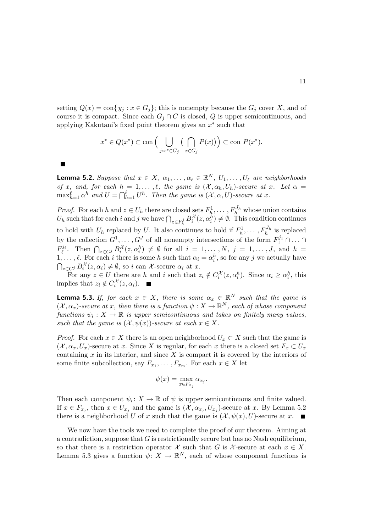setting  $Q(x) = \text{con} \{ y_j : x \in G_j \}$ ; this is nonempty because the  $G_j$  cover X, and of course it is compact. Since each  $G_j \cap C$  is closed, Q is upper semicontinuous, and applying Kakutani's fixed point theorem gives an  $x^*$  such that

$$
x^* \in Q(x^*) \subset \text{con}\left(\bigcup_{j:x^* \in G_j} \left(\bigcap_{x \in G_j} P(x)\right)\right) \subset \text{con } P(x^*).
$$

**Lemma 5.2.** *Suppose that*  $x \in X$ ,  $\alpha_1, \ldots, \alpha_\ell \in \mathbb{R}^N$ ,  $U_1, \ldots, U_\ell$  are neighborhoods *of* x<sub>*,*</sub> and, for each  $h = 1, \ldots, \ell$ , the game is  $(\mathcal{X}, \alpha_h, U_h)$ -secure at x. Let  $\alpha =$  $\max_{h=1}^{\ell} \alpha^h$  *and*  $U = \bigcap_{h=1}^{\ell} U^h$ . Then the game is  $(\mathcal{X}, \alpha, U)$ -secure at x.

*Proof.* For each h and  $z \in U_h$  there are closed sets  $F_h^1, \ldots, F_h^{J_h}$  whose union contains  $U_h$  such that for each i and j we have  $\bigcap_{z \in F_h^j} B_i^{\mathcal{X}}(z, \alpha_i^h) \neq \emptyset$ . This condition continues to hold with  $U_h$  replaced by U. It also continues to hold if  $F_h^1$  $h_1^1, \ldots, F_h^{J_h}$  is replaced by the collection  $G^1, \ldots, G^J$  of all nonempty intersections of the form  $F_1^{j_1} \cap \ldots \cap$  $F_{\ell}^{j_{\ell}}$ . Then  $\bigcap_{z \in G^{j}} B_{i}^{\mathcal{X}}(z, \alpha_{i}^{h}) \neq \emptyset$  for all  $i = 1, \ldots, N, j = 1, \ldots, J$ , and  $h =$ 1,...,  $\ell$ . For each i there is some h such that  $\alpha_i = \alpha_i^h$ , so for any j we actually have  $\bigcap_{z \in G^j} B_i^{\mathcal{X}}(z, \alpha_i) \neq \emptyset$ , so i can X-secure  $\alpha_i$  at x. i

For any  $z \in U$  there are h and i such that  $z_i \notin C_i^{\mathcal{X}}(z, \alpha_i^h)$ . Since  $\alpha_i \geq \alpha_i^h$ , this implies that  $z_i \notin C_i^{\mathcal{X}}(z, \alpha_i)$ .

**Lemma 5.3.** *If, for each*  $x \in X$ *, there is some*  $\alpha_x \in \mathbb{R}^N$  *such that the game is*  $(X, \alpha_x)$ -secure at x, then there is a function  $\psi: X \to \mathbb{R}^N$ , each of whose component  $functions \psi_i : X \to \mathbb{R}$  *is upper semicontinuous and takes on finitely many values, such that the game is*  $(X, \psi(x))$ *-secure at each*  $x \in X$ *.* 

*Proof.* For each  $x \in X$  there is an open neighborhood  $U_x \subset X$  such that the game is  $(\mathcal{X}, \alpha_x, U_x)$ -secure at x. Since X is regular, for each x there is a closed set  $F_x \subset U_x$ containing  $x$  in its interior, and since  $X$  is compact it is covered by the interiors of some finite subcollection, say  $F_{x_1}, \ldots, F_{x_m}$ . For each  $x \in X$  let

$$
\psi(x) = \max_{x \in F_{x_j}} \alpha_{x_j}.
$$

Then each component  $\psi_i: X \to \mathbb{R}$  of  $\psi$  is upper semicontinuous and finite valued. If  $x \in F_{x_j}$ , then  $x \in U_{x_j}$  and the game is  $(\mathcal{X}, \alpha_{x_j}, U_{x_j})$ -secure at x. By Lemma 5.2 there is a neighborhood U of x such that the game is  $(\mathcal{X}, \psi(x), U)$ -secure at x.

We now have the tools we need to complete the proof of our theorem. Aiming at a contradiction, suppose that  $G$  is restrictionally secure but has no Nash equilibrium, so that there is a restriction operator X such that G is X-secure at each  $x \in X$ . Lemma 5.3 gives a function  $\psi: X \to \mathbb{R}^N$ , each of whose component functions is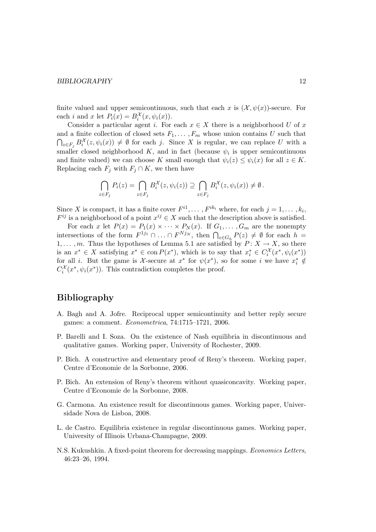#### BIBLIOGRAPHY 12

finite valued and upper semicontinuous, such that each x is  $(\mathcal{X}, \psi(x))$ -secure. For each *i* and *x* let  $P_i(x) = B_i^{\mathcal{X}}(x, \psi_i(x)).$ 

Consider a particular agent i. For each  $x \in X$  there is a neighborhood U of x and a finite collection of closed sets  $F_1, \ldots, F_m$  whose union contains U such that  $\bigcap_{z \in F_j} B_i^{\mathcal{X}}(z, \psi_i(x)) \neq \emptyset$  for each j. Since X is regular, we can replace U with a smaller closed neighborhood K, and in fact (because  $\psi_i$  is upper semicontinuous and finite valued) we can choose K small enough that  $\psi_i(z) \leq \psi_i(x)$  for all  $z \in K$ . Replacing each  $F_j$  with  $F_j \cap K$ , we then have

$$
\bigcap_{z \in F_j} P_i(z) = \bigcap_{z \in F_j} B_i^{\mathcal{X}}(z, \psi_i(z)) \supseteq \bigcap_{z \in F_j} B_i^{\mathcal{X}}(z, \psi_i(x)) \neq \emptyset.
$$

Since X is compact, it has a finite cover  $F^{i_1}, \ldots, F^{ik_i}$  where, for each  $j = 1, \ldots, k_i$ ,  $F^{ij}$  is a neighborhood of a point  $x^{ij} \in X$  such that the description above is satisfied.

For each x let  $P(x) = P_1(x) \times \cdots \times P_N(x)$ . If  $G_1, \ldots, G_m$  are the nonempty intersections of the form  $F^{1j_1} \cap ... \cap F^{Nj_N}$ , then  $\bigcap_{z \in G_h} P(z) \neq \emptyset$  for each  $h =$ 1,..., m. Thus the hypotheses of Lemma 5.1 are satisfied by  $P: X \to X$ , so there is an  $x^* \in X$  satisfying  $x^* \in \text{con } P(x^*)$ , which is to say that  $x_i^* \in C_i^{\mathcal{X}}(x^*, \psi_i(x^*))$ for all *i*. But the game is X-secure at  $x^*$  for  $\psi(x^*)$ , so for some *i* we have  $x_i^* \notin$  $C_i^{\mathcal{X}}(x^*, \psi_i(x^*))$ . This contradiction completes the proof.

## Bibliography

- A. Bagh and A. Jofre. Reciprocal upper semicontinuity and better reply secure games: a comment. *Econometrica*, 74:1715–1721, 2006.
- P. Barelli and I. Soza. On the existence of Nash equilibria in discontinuous and qualitative games. Working paper, University of Rochester, 2009.
- P. Bich. A constructive and elementary proof of Reny's theorem. Working paper, Centre d'Economie de la Sorbonne, 2006.
- P. Bich. An extension of Reny's theorem without quasiconcavity. Working paper, Centre d'Economie de la Sorbonne, 2008.
- G. Carmona. An existence result for discontinuous games. Working paper, Universidade Nova de Lisboa, 2008.
- L. de Castro. Equilibria existence in regular discontinuous games. Working paper, University of Illinois Urbana-Champagne, 2009.
- N.S. Kukushkin. A fixed-point theorem for decreasing mappings. *Economics Letters*, 46:23–26, 1994.